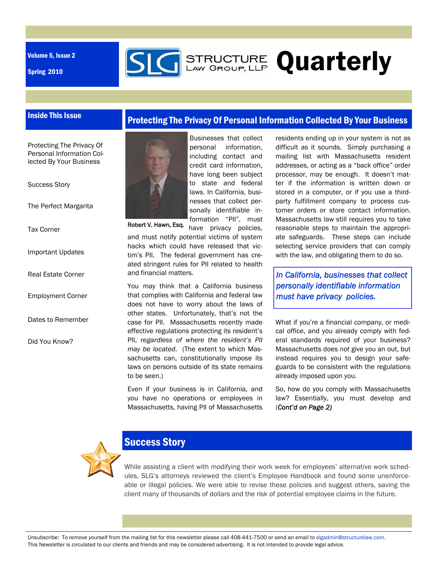Volume 5, Issue 2

Spring 2010



Protecting The Privacy Of Personal Information Collected By Your Business

## Inside This Issue

#### Protecting The Privacy Of Personal Information Collected By Your Business

#### Success Story

The Perfect Margarita

Tax Corner

Important Updates

Real Estate Corner

- Employment Corner
- Dates to Remember

Did You Know?



Businesses that collect personal information, including contact and credit card information, have long been subject to state and federal laws. In California, businesses that collect personally identifiable information "PII", must

have privacy policies, and must notify potential victims of system hacks which could have released that victim's PII. The federal government has created stringent rules for PII related to health and financial matters. Robert V. Hawn, Esq.

You may think that a California business that complies with California and federal law does not have to worry about the laws of other states. Unfortunately, that's not the case for PII. Massachusetts recently made effective regulations protecting its resident's PII, *regardless of where the resident's PII may be located*. (The extent to which Massachusetts can, constitutionally impose its laws on persons outside of its state remains to be seen.)

Even if your business is in California, and you have no operations or employees in Massachusetts, having PII of Massachusetts residents ending up in your system is not as difficult as it sounds. Simply purchasing a mailing list with Massachusetts resident addresses, or acting as a "back office" order processor, may be enough. It doesn't matter if the information is written down or stored in a computer, or if you use a thirdparty fulfillment company to process customer orders or store contact information. Massachusetts law still requires you to take reasonable steps to maintain the appropriate safeguards. These steps can include selecting service providers that can comply with the law, and obligating them to do so.

*In California, businesses that collect personally identifiable information must have privacy policies.* 

What if you're a financial company, or medical office, and you already comply with federal standards required of your business? Massachusetts does *not* give you an out, but instead requires you to design your safeguards to be consistent with the regulations already imposed upon you.

So, how do you comply with Massachusetts law? Essentially, you must develop and (*Cont'd on Page 2)*



## Success Story

While assisting a client with modifying their work week for employees' alternative work schedules, SLG's attorneys reviewed the client's Employee Handbook and found some unenforceable or illegal policies. We were able to revise these policies and suggest others, saving the client many of thousands of dollars and the risk of potential employee claims in the future.

Unsubscribe: To remove yourself from the mailing list for this newsletter please call 408-441-7500 or send an email to slgadmin@structurelaw.com. This Newsletter is circulated to our clients and friends and may be considered advertising. It is not intended to provide legal advice.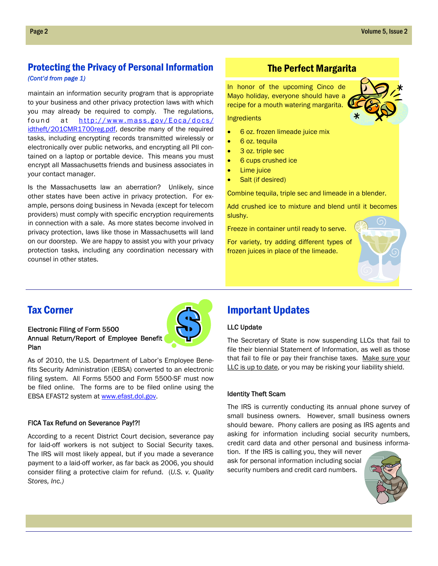## Protecting the Privacy of Personal Information *(Cont'd from page 1)*

maintain an information security program that is appropriate to your businessand other privacy protection laws with which you may already be required to comply. The regulations, found at http://www.mass.gov/Eoca/docs/ idtheft/201CMR1700reg.pdf, describe many of the required tasks, including encrypting records transmitted wirelessly or electronically over public networks, and encrypting all PII contained on a laptop or portable device. This means you must encrypt all Massachusetts friends and business associates in your contact manager.

Is the Massachusetts law an aberration? Unlikely, since other states have been active in privacy protection. For example, persons doing business in Nevada (except for telecom providers) must comply with specific encryption requirements in connection with a sale. As more states become involved in privacy protection, laws like those in Massachusetts will land on our doorstep. We are happy to assist you with your privacy protection tasks, including any coordination necessary with counsel in other states.

## The Perfect Margarita

In honor of the upcoming Cinco de Mayo holiday, everyone should have a recipe for a mouth watering margarita.

Ingredients

- 6 oz. frozen limeade juice mix
- 6 oz. tequila
- 3 oz. triple sec
- 6 cups crushed ice
- Lime juice
- Salt (if desired)

Combine tequila, triple sec and limeade in a blender.

Add crushed ice to mixture and blend until it becomes slushy.

Freeze in container until ready to serve.

For variety, try adding different types of frozen juices in place of the limeade.



## Tax Corner

## Electronic Filing of Form 5500 Annual Return/Report of Employee Benefit Plan

As of 2010, the U.S. Department of Labor's Employee Benefits Security Administration (EBSA) converted to an electronic filing system. All Forms 5500 and Form 5500-SF must now be filed online. The forms are to be filed online using the EBSA EFAST2 system at www.efast.dol.gov.

#### FICA Tax Refund on Severance Pay!?!

According to a recent District Court decision, severance pay for laid-off workers is not subject to Social Security taxes. The IRS will most likely appeal, but if you made a severance payment to a laid-off worker, as far back as 2006, you should consider filing a protective claim for refund. (*U.S. v. Quality Stores, Inc.)*

## Important Updates

#### LLC Update

The Secretary of State is now suspending LLCs that fail to file their biennial Statement of Information, as well as those that fail to file or pay their franchise taxes. Make sure your LLC is up to date, or you may be risking your liability shield.

#### Identity Theft Scam

The IRS is currently conducting its annual phone survey of small business owners. However, small business owners should beware. Phony callers are posing as IRS agents and asking for information including social security numbers, credit card data and other personal and business informa-

tion. If the IRS is calling you, they will never ask for personal information including social security numbers and credit card numbers.



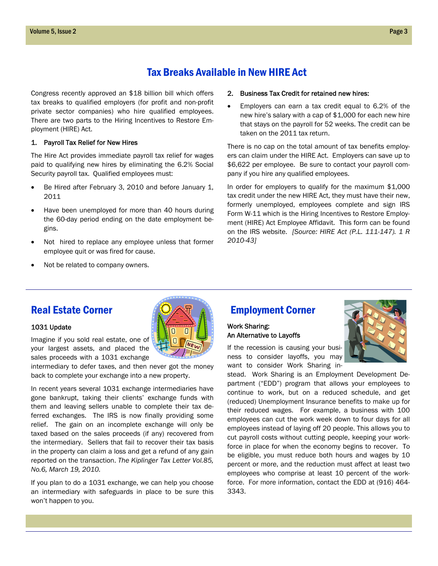## Tax Breaks Available in New HIRE Act

Congress recently approved an \$18 billion bill which offers tax breaks to qualified employers (for profit and non-profit private sector companies) who hire qualified employees. There are two parts to the Hiring Incentives to Restore Employment (HIRE) Act.

#### 1. Payroll Tax Relief for New Hires

The Hire Act provides immediate payroll tax relief for wages paid to qualifying new hires by eliminating the 6.2% Social Security payroll tax. Qualified employees must:

- Be Hired after February 3, 2010 and before January 1, 2011
- Have been unemployed for more than 40 hours during the 60-day period ending on the date employment begins.
- Not hired to replace any employee unless that former employee quit or was fired for cause.
- Not be related to company owners.

#### 2. Business Tax Credit for retained new hires:

 Employers can earn a tax credit equal to 6.2% of the new hire's salary with a cap of \$1,000 for each new hire that stays on the payroll for 52 weeks. The credit can be taken on the 2011 tax return.

There is no cap on the total amount of tax benefits employers can claim under the HIRE Act. Employers can save up to \$6,622 per employee. Be sure to contact your payroll company if you hire any qualified employees.

In order for employers to qualify for the maximum \$1,000 tax credit under the new HIRE Act, they must have their new, formerly unemployed, employees complete and sign IRS Form W-11 which is the Hiring Incentives to Restore Employment (HIRE) Act Employee Affidavit. This form can be found on the IRS website. *[Source: HIRE Act (P.L. 111-147). 1 R 2010-43]* 

#### 1031 Update

Imagine if you sold real estate, one of your largest assets, and placed the sales proceeds with a 1031 exchange

intermediary to defer taxes, and then never got the money back to complete your exchange into a new property.

In recent years several 1031 exchange intermediaries have gone bankrupt, taking their clients' exchange funds with them and leaving sellers unable to complete their tax deferred exchanges. The IRS is now finally providing some relief. The gain on an incomplete exchange will only be taxed based on the sales proceeds (if any) recovered from the intermediary. Sellers that fail to recover their tax basis in the property can claim a loss and get a refund of any gain reported on the transaction. *The Kiplinger Tax Letter Vol.85, No.6, March 19, 2010.*

If you plan to do a 1031 exchange, we can help you choose an intermediary with safeguards in place to be sure this won't happen to you.

## Real Estate Corner **Employment Corner**

### Work Sharing: An Alternative to Layoffs

If the recession is causing your business to consider layoffs, you may want to consider Work Sharing in-

stead. Work Sharing is an Employment Development Department ("EDD") program that allows your employees to continue to work, but on a reduced schedule, and get (reduced) Unemployment Insurance benefits to make up for their reduced wages. For example, a business with 100 employees can cut the work week down to four days for all employees instead of laying off 20 people. This allows you to cut payroll costs without cutting people, keeping your workforce in place for when the economy begins to recover. To be eligible, you must reduce both hours and wages by 10 percent or more, and the reduction must affect at least two employees who comprise at least 10 percent of the workforce. For more information, contact the EDD at (916) 464- 3343.